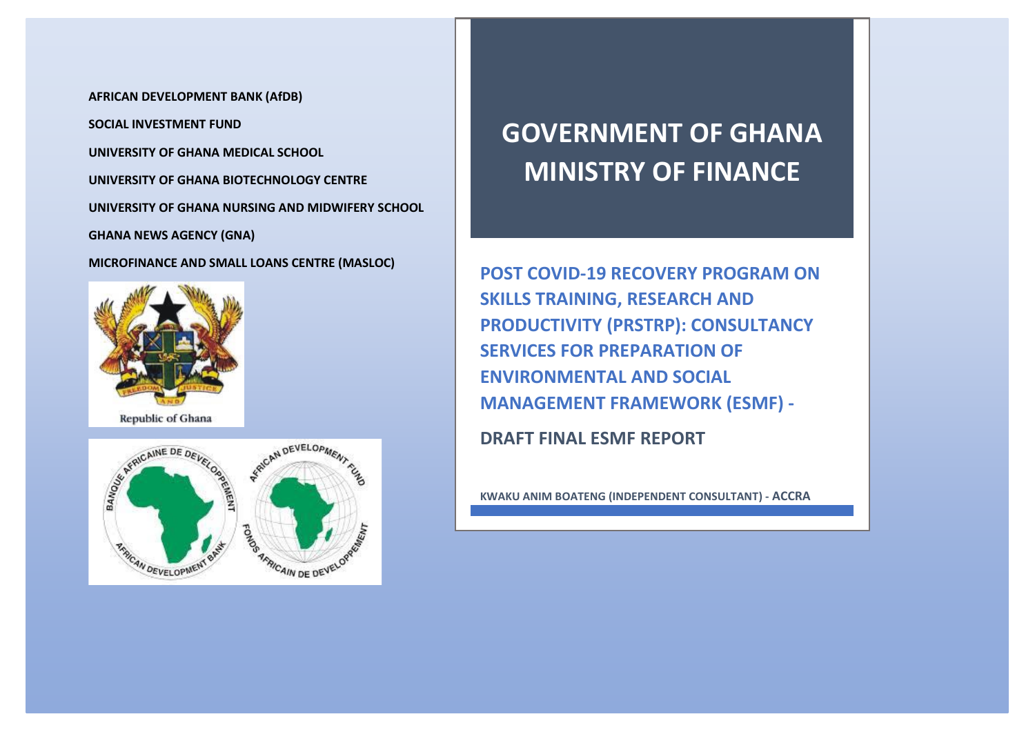**AFRICAN DEVELOPMENT BANK (AfDB) SOCIAL INVESTMENT FUND UNIVERSITY OF GHANA MEDICAL SCHOOL UNIVERSITY OF GHANA BIOTECHNOLOGY CENTRE UNIVERSITY OF GHANA NURSING AND MIDWIFERY SCHOOL GHANA NEWS AGENCY (GNA)**

**MICROFINANCE AND SMALL LOANS CENTRE (MASLOC)**



Republic of Ghana



# **GOVERNMENT OF GHANA MINISTRY OF FINANCE**

**POST COVID-19 RECOVERY PROGRAM ON SKILLS TRAINING, RESEARCH AND PRODUCTIVITY (PRSTRP): CONSULTANCY SERVICES FOR PREPARATION OF ENVIRONMENTAL AND SOCIAL MANAGEMENT FRAMEWORK (ESMF) -**

**DRAFT FINAL ESMF REPORT**

**KWAKU ANIM BOATENG (INDEPENDENT CONSULTANT) - ACCRA**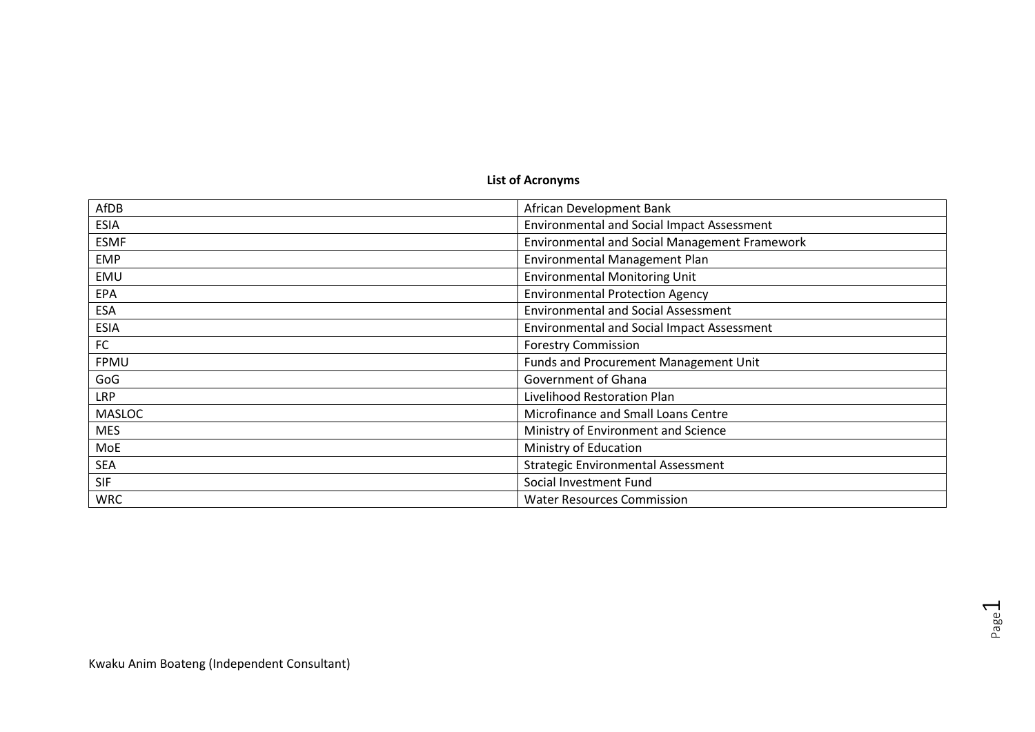# **List of Acronyms**

| AfDB          | African Development Bank                          |
|---------------|---------------------------------------------------|
| <b>ESIA</b>   | <b>Environmental and Social Impact Assessment</b> |
| <b>ESMF</b>   | Environmental and Social Management Framework     |
| <b>EMP</b>    | Environmental Management Plan                     |
| EMU           | <b>Environmental Monitoring Unit</b>              |
| EPA           | <b>Environmental Protection Agency</b>            |
| <b>ESA</b>    | <b>Environmental and Social Assessment</b>        |
| <b>ESIA</b>   | <b>Environmental and Social Impact Assessment</b> |
| FC            | <b>Forestry Commission</b>                        |
| FPMU          | Funds and Procurement Management Unit             |
| GoG           | Government of Ghana                               |
| <b>LRP</b>    | Livelihood Restoration Plan                       |
| <b>MASLOC</b> | Microfinance and Small Loans Centre               |
| <b>MES</b>    | Ministry of Environment and Science               |
| MoE           | Ministry of Education                             |
| <b>SEA</b>    | <b>Strategic Environmental Assessment</b>         |
| <b>SIF</b>    | Social Investment Fund                            |
| <b>WRC</b>    | <b>Water Resources Commission</b>                 |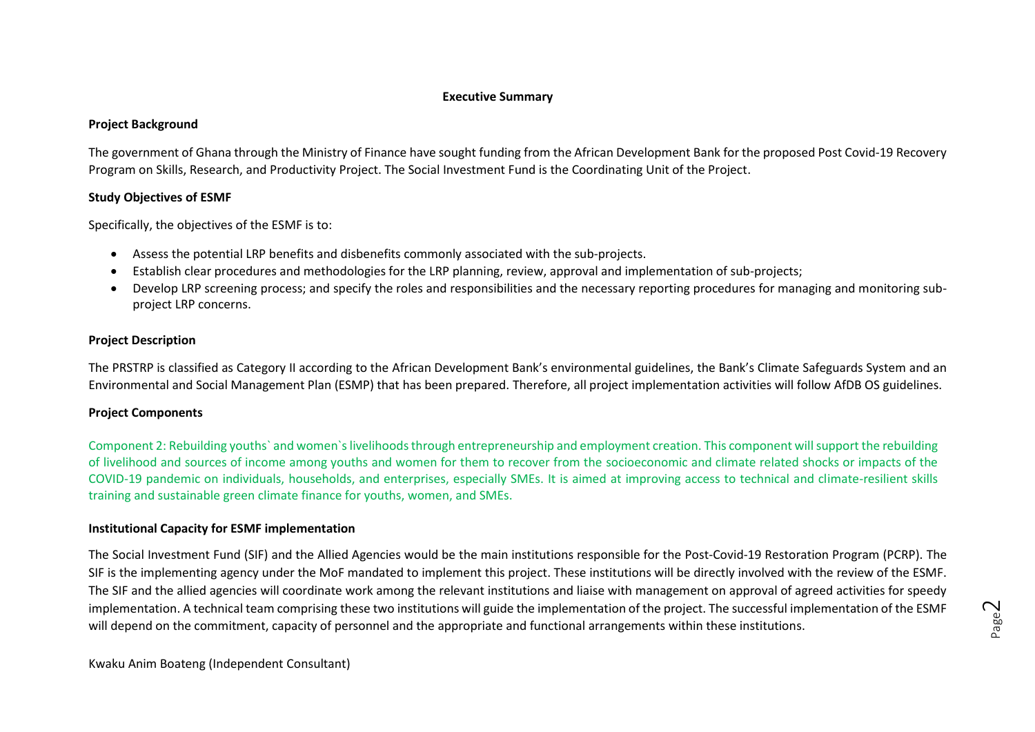#### **Executive Summary**

#### **Project Background**

The government of Ghana through the Ministry of Finance have sought funding from the African Development Bank for the proposed Post Covid-19 Recovery Program on Skills, Research, and Productivity Project. The Social Investment Fund is the Coordinating Unit of the Project.

#### **Study Objectives of ESMF**

Specifically, the objectives of the ESMF is to:

- Assess the potential LRP benefits and disbenefits commonly associated with the sub-projects.
- Establish clear procedures and methodologies for the LRP planning, review, approval and implementation of sub-projects;
- Develop LRP screening process; and specify the roles and responsibilities and the necessary reporting procedures for managing and monitoring subproject LRP concerns.

#### **Project Description**

The PRSTRP is classified as Category II according to the African Development Bank's environmental guidelines, the Bank's Climate Safeguards System and an Environmental and Social Management Plan (ESMP) that has been prepared. Therefore, all project implementation activities will follow AfDB OS guidelines.

#### **Project Components**

Component 2: Rebuilding youths` and women`s livelihoods through entrepreneurship and employment creation. This component will support the rebuilding of livelihood and sources of income among youths and women for them to recover from the socioeconomic and climate related shocks or impacts of the COVID-19 pandemic on individuals, households, and enterprises, especially SMEs. It is aimed at improving access to technical and climate-resilient skills training and sustainable green climate finance for youths, women, and SMEs.

#### **Institutional Capacity for ESMF implementation**

The Social Investment Fund (SIF) and the Allied Agencies would be the main institutions responsible for the Post-Covid-19 Restoration Program (PCRP). The SIF is the implementing agency under the MoF mandated to implement this project. These institutions will be directly involved with the review of the ESMF. The SIF and the allied agencies will coordinate work among the relevant institutions and liaise with management on approval of agreed activities for speedy implementation. A technical team comprising these two institutions will guide the implementation of the project. The successful implementation of the ESMF will depend on the commitment, capacity of personnel and the appropriate and functional arrangements within these institutions.

Kwaku Anim Boateng (Independent Consultant)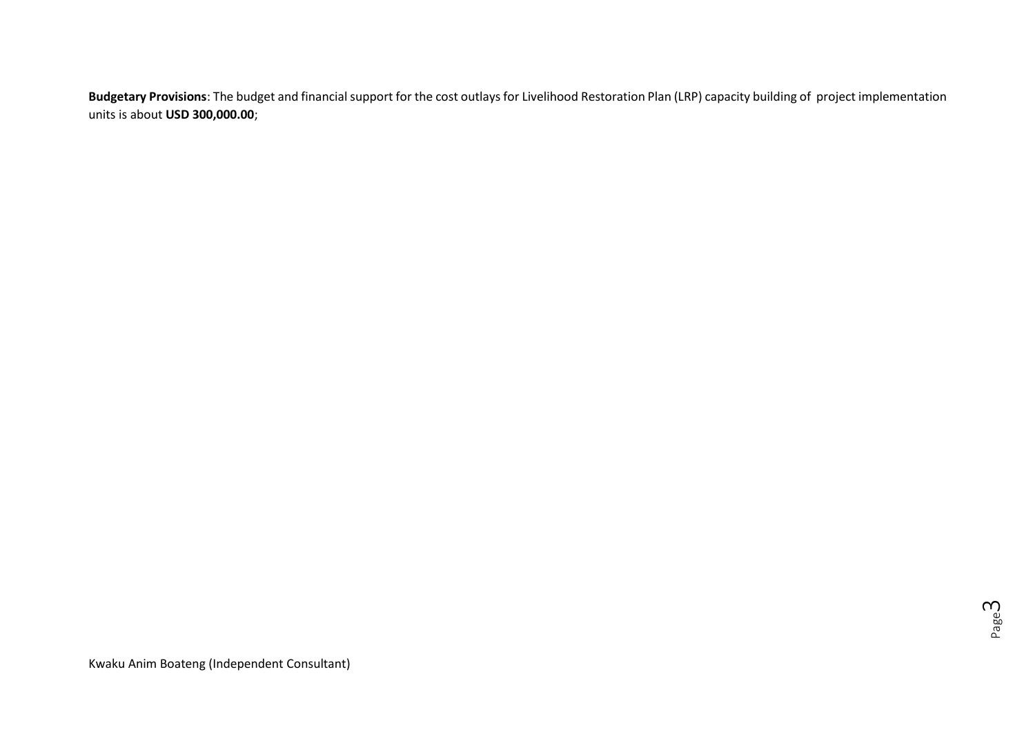**Budgetary Provisions**: The budget and financial support for the cost outlays for Livelihood Restoration Plan (LRP) capacity building of project implementation units is about **USD 300,000.00**;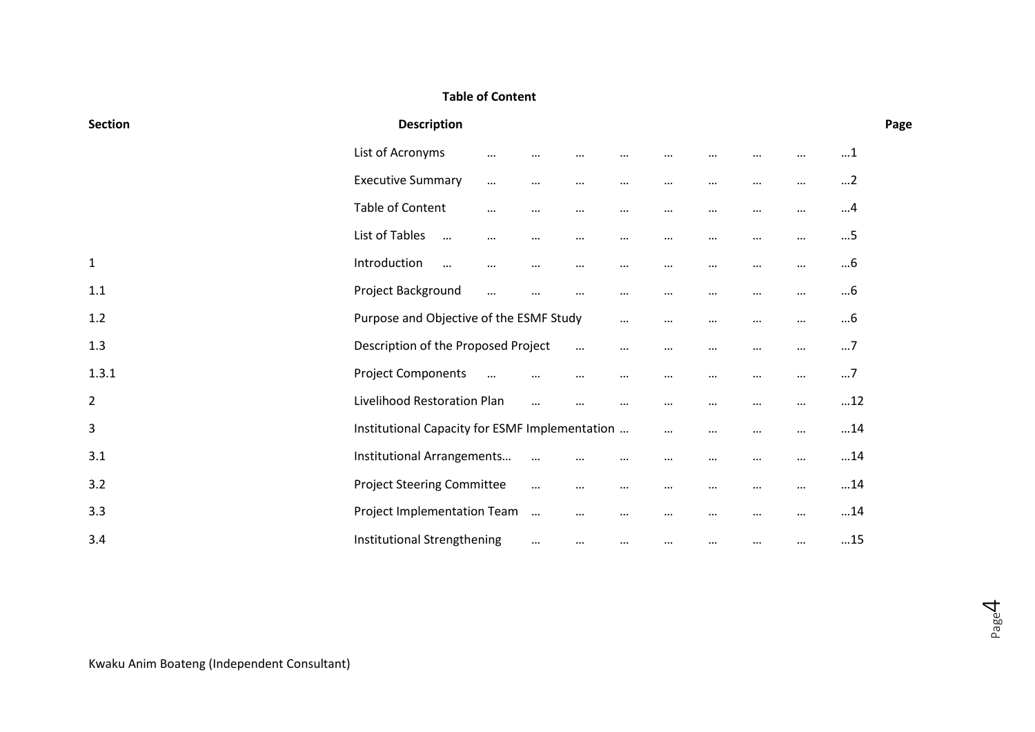# **Table of Content**

| <b>Section</b> | <b>Description</b>                             |          |          |          |          |          |          |          |          | Page      |
|----------------|------------------------------------------------|----------|----------|----------|----------|----------|----------|----------|----------|-----------|
|                | List of Acronyms                               | $\cdots$ | $\cdots$ | $\cdots$ | $\cdots$ | $\cdots$ | $\cdots$ | $\cdots$ | $\cdots$ | $\dots$ 1 |
|                | <b>Executive Summary</b>                       | $\cdots$ | $\cdots$ | $\cdots$ | $\cdots$ | $\cdots$ | $\cdots$ | $\cdots$ | $\cdots$ | $\dots$ 2 |
|                | Table of Content                               | $\cdots$ | $\cdots$ | $\cdots$ | $\cdots$ | $\cdots$ | $\cdots$ | $\cdots$ | $\cdots$ | 4         |
|                | List of Tables<br>$\cdots$                     | $\cdots$ | $\cdots$ | $\cdots$ | $\cdots$ | $\cdots$ | $\cdots$ | $\cdots$ | $\cdots$ | $\dots$ 5 |
| $\mathbf{1}$   | Introduction<br>$\cdots$                       | $\cdots$ | $\cdots$ | $\cdots$ | $\cdots$ | $\cdots$ | $\cdots$ | $\cdots$ | $\cdots$ | 6         |
| 1.1            | Project Background                             | $\cdots$ | $\cdots$ | $\cdots$ | $\cdots$ | $\cdots$ | $\cdots$ | $\cdots$ | $\cdots$ | 6         |
| 1.2            | Purpose and Objective of the ESMF Study        |          |          |          | $\cdots$ | $\cdots$ | $\cdots$ | $\cdots$ | $\cdots$ | 6         |
| 1.3            | Description of the Proposed Project            |          |          | $\cdots$ | $\cdots$ | $\cdots$ | $\cdots$ | $\cdots$ | $\cdots$ | $\dots$ 7 |
| 1.3.1          | <b>Project Components</b>                      | $\cdots$ | $\cdots$ | $\cdots$ | $\cdots$ | $\cdots$ | $\cdots$ | $\cdots$ | $\cdots$ | $\dots$ 7 |
| $\overline{2}$ | Livelihood Restoration Plan                    |          | $\cdots$ | $\cdots$ | $\cdots$ | $\cdots$ | $\cdots$ | $\cdots$ | $\cdots$ | 12        |
| 3              | Institutional Capacity for ESMF Implementation |          |          |          |          | $\cdots$ | $\cdots$ | $\cdots$ | $\cdots$ | 14        |
| 3.1            | Institutional Arrangements                     |          | $\cdots$ | $\cdots$ | $\cdots$ | $\cdots$ | $\cdots$ | $\cdots$ | $\cdots$ | 14        |
| 3.2            | <b>Project Steering Committee</b>              |          | $\cdots$ | $\cdots$ | $\cdots$ | $\cdots$ | $\cdots$ | $\cdots$ | $\cdots$ | 14        |
| 3.3            | Project Implementation Team                    |          | $\cdots$ | $\cdots$ | $\cdots$ | $\cdots$ | $\cdots$ | $\cdots$ | $\cdots$ | 14        |
| 3.4            | Institutional Strengthening                    |          | $\cdots$ | $\cdots$ | $\cdots$ | $\cdots$ | $\cdots$ | $\cdots$ | $\cdots$ | 15        |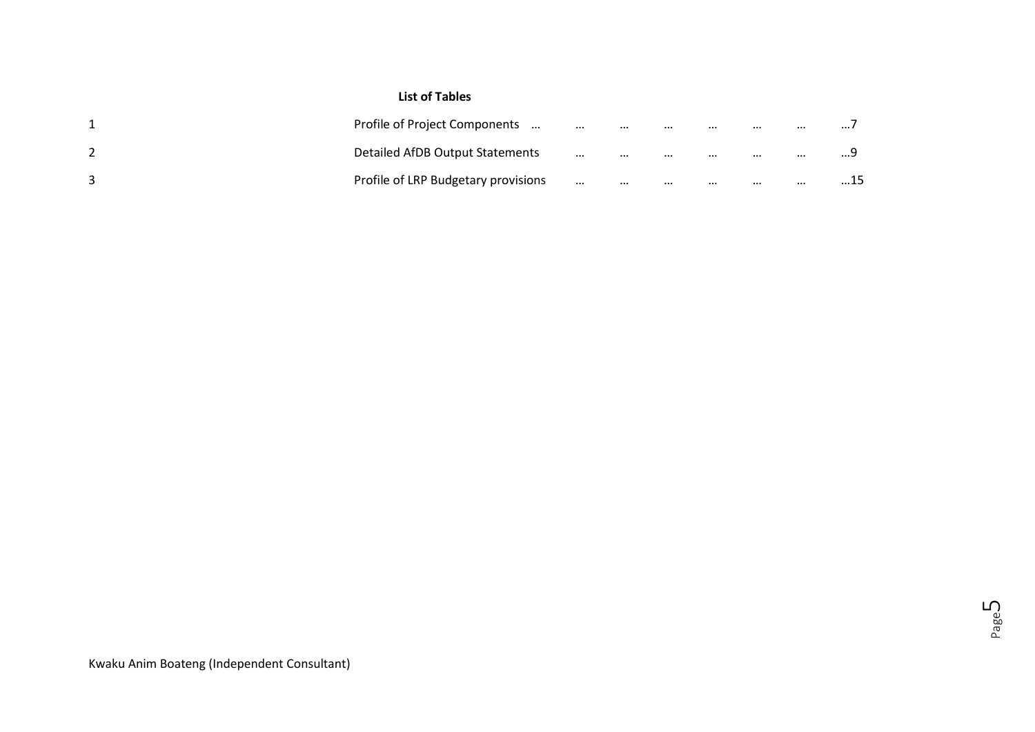# **List of Tables**

| Profile of Project Components       | $\cdots$ | $\cdots$ | $\cdots$ | $\cdots$ | $\cdots$ | $\cdots$ | $\cdots$ |
|-------------------------------------|----------|----------|----------|----------|----------|----------|----------|
| Detailed AfDB Output Statements     | $\cdots$ | $\cdots$ | $\cdots$ | $\cdots$ | $\cdots$ | $\cdots$ | .        |
| Profile of LRP Budgetary provisions | $\cdots$ | $\cdots$ | $\cdots$ | $\cdots$ | $\cdots$ | $\cdots$ | 15       |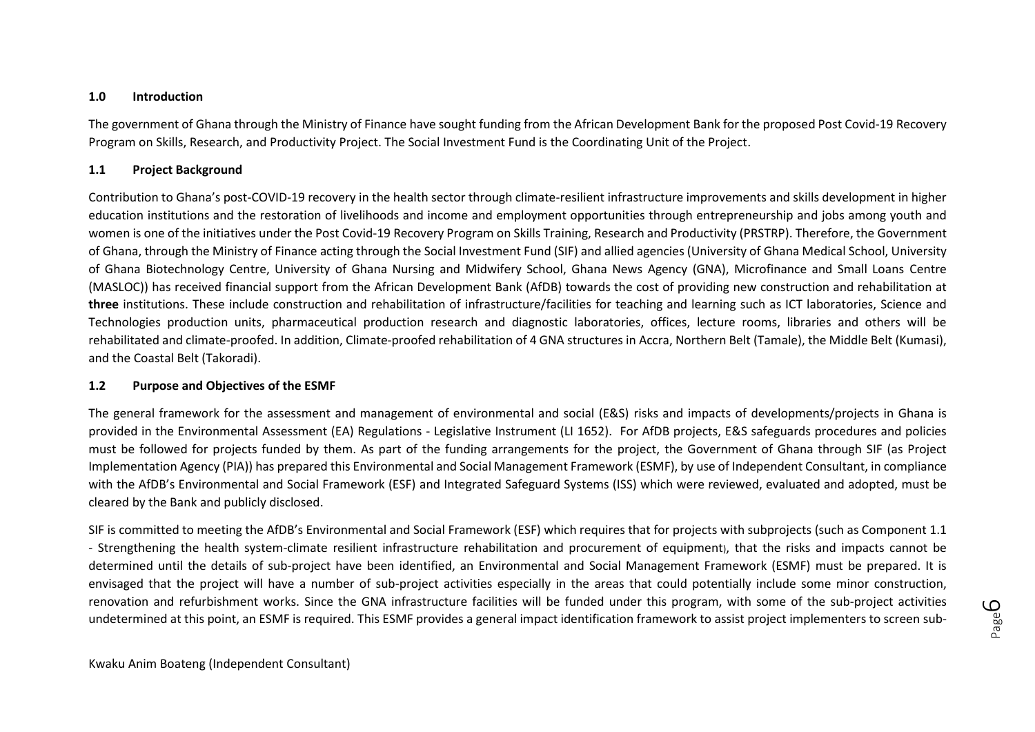#### **1.0 Introduction**

The government of Ghana through the Ministry of Finance have sought funding from the African Development Bank for the proposed Post Covid-19 Recovery Program on Skills, Research, and Productivity Project. The Social Investment Fund is the Coordinating Unit of the Project.

#### **1.1 Project Background**

Contribution to Ghana's post-COVID-19 recovery in the health sector through climate-resilient infrastructure improvements and skills development in higher education institutions and the restoration of livelihoods and income and employment opportunities through entrepreneurship and jobs among youth and women is one of the initiatives under the Post Covid-19 Recovery Program on Skills Training, Research and Productivity (PRSTRP). Therefore, the Government of Ghana, through the Ministry of Finance acting through the Social Investment Fund (SIF) and allied agencies (University of Ghana Medical School, University of Ghana Biotechnology Centre, University of Ghana Nursing and Midwifery School, Ghana News Agency (GNA), Microfinance and Small Loans Centre (MASLOC)) has received financial support from the African Development Bank (AfDB) towards the cost of providing new construction and rehabilitation at **three** institutions. These include construction and rehabilitation of infrastructure/facilities for teaching and learning such as ICT laboratories, Science and Technologies production units, pharmaceutical production research and diagnostic laboratories, offices, lecture rooms, libraries and others will be rehabilitated and climate-proofed. In addition, Climate-proofed rehabilitation of 4 GNA structures in Accra, Northern Belt (Tamale), the Middle Belt (Kumasi), and the Coastal Belt (Takoradi).

#### **1.2 Purpose and Objectives of the ESMF**

The general framework for the assessment and management of environmental and social (E&S) risks and impacts of developments/projects in Ghana is provided in the Environmental Assessment (EA) Regulations - Legislative Instrument (LI 1652). For AfDB projects, E&S safeguards procedures and policies must be followed for projects funded by them. As part of the funding arrangements for the project, the Government of Ghana through SIF (as Project Implementation Agency (PIA)) has prepared this Environmental and Social Management Framework (ESMF), by use of Independent Consultant, in compliance with the AfDB's Environmental and Social Framework (ESF) and Integrated Safeguard Systems (ISS) which were reviewed, evaluated and adopted, must be cleared by the Bank and publicly disclosed.

SIF is committed to meeting the AfDB's Environmental and Social Framework (ESF) which requires that for projects with subprojects (such as Component 1.1 - Strengthening the health system-climate resilient infrastructure rehabilitation and procurement of equipment), that the risks and impacts cannot be determined until the details of sub-project have been identified, an Environmental and Social Management Framework (ESMF) must be prepared. It is envisaged that the project will have a number of sub-project activities especially in the areas that could potentially include some minor construction, renovation and refurbishment works. Since the GNA infrastructure facilities will be funded under this program, with some of the sub-project activities undetermined at this point, an ESMF is required. This ESMF provides a general impact identification framework to assist project implementers to screen sub-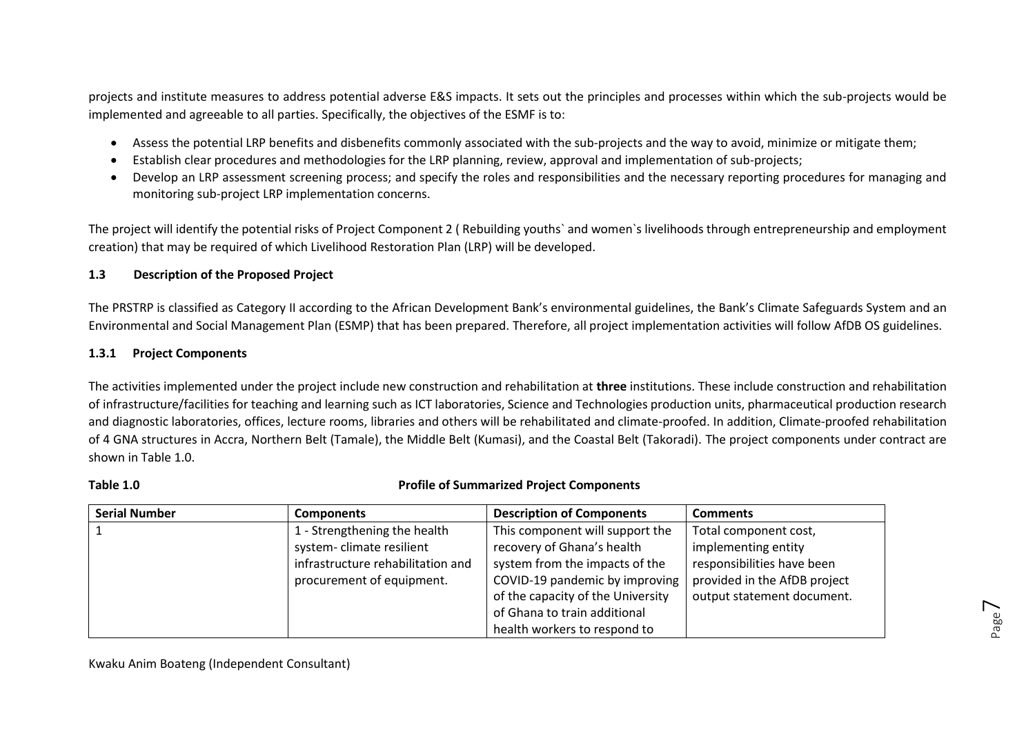projects and institute measures to address potential adverse E&S impacts. It sets out the principles and processes within which the sub-projects would be implemented and agreeable to all parties. Specifically, the objectives of the ESMF is to:

- Assess the potential LRP benefits and disbenefits commonly associated with the sub-projects and the way to avoid, minimize or mitigate them;
- Establish clear procedures and methodologies for the LRP planning, review, approval and implementation of sub-projects;
- Develop an LRP assessment screening process; and specify the roles and responsibilities and the necessary reporting procedures for managing and monitoring sub-project LRP implementation concerns.

The project will identify the potential risks of Project Component 2 ( Rebuilding youths` and women`s livelihoods through entrepreneurship and employment creation) that may be required of which Livelihood Restoration Plan (LRP) will be developed.

### **1.3 Description of the Proposed Project**

The PRSTRP is classified as Category II according to the African Development Bank's environmental guidelines, the Bank's Climate Safeguards System and an Environmental and Social Management Plan (ESMP) that has been prepared. Therefore, all project implementation activities will follow AfDB OS guidelines.

#### **1.3.1 Project Components**

The activities implemented under the project include new construction and rehabilitation at **three** institutions. These include construction and rehabilitation of infrastructure/facilities for teaching and learning such as ICT laboratories, Science and Technologies production units, pharmaceutical production research and diagnostic laboratories, offices, lecture rooms, libraries and others will be rehabilitated and climate-proofed. In addition, Climate-proofed rehabilitation of 4 GNA structures in Accra, Northern Belt (Tamale), the Middle Belt (Kumasi), and the Coastal Belt (Takoradi). The project components under contract are shown in Table 1.0.

#### **Table 1.0 Profile of Summarized Project Components**

Page  $\overline{\phantom{1}}$ 

| <b>Serial Number</b> | <b>Components</b>                 | <b>Description of Components</b>  | <b>Comments</b>              |
|----------------------|-----------------------------------|-----------------------------------|------------------------------|
|                      | 1 - Strengthening the health      | This component will support the   | Total component cost,        |
|                      | system-climate resilient          | recovery of Ghana's health        | implementing entity          |
|                      | infrastructure rehabilitation and | system from the impacts of the    | responsibilities have been   |
|                      | procurement of equipment.         | COVID-19 pandemic by improving    | provided in the AfDB project |
|                      |                                   | of the capacity of the University | output statement document.   |
|                      |                                   | of Ghana to train additional      |                              |
|                      |                                   | health workers to respond to      |                              |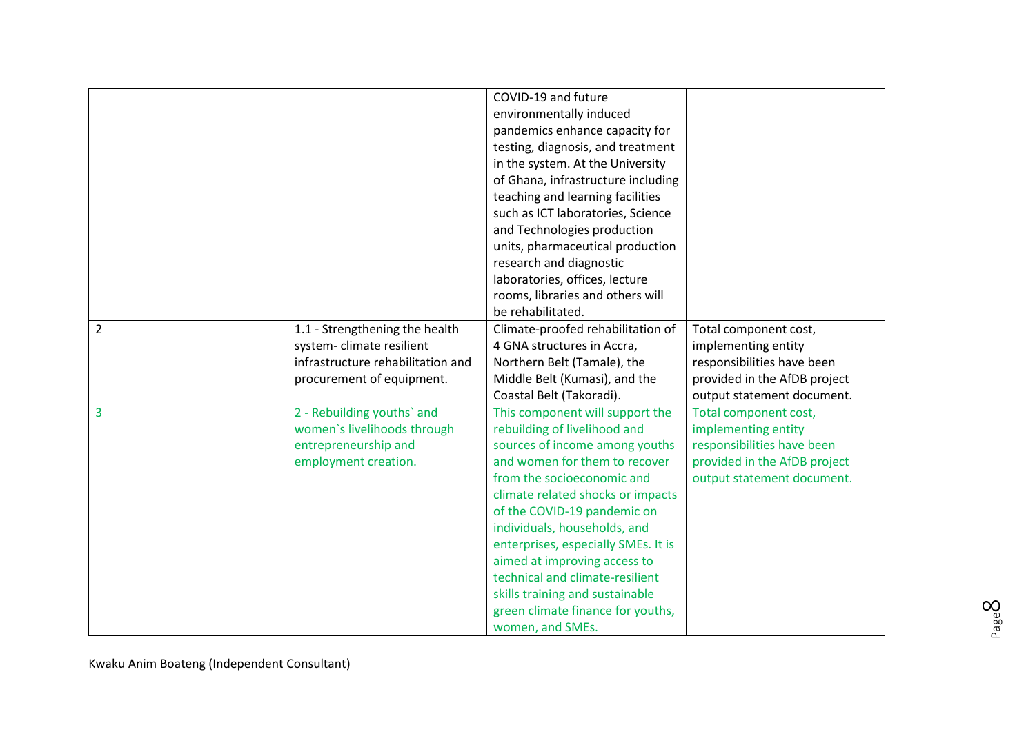|                |                                                                                                                              | COVID-19 and future<br>environmentally induced<br>pandemics enhance capacity for<br>testing, diagnosis, and treatment<br>in the system. At the University<br>of Ghana, infrastructure including<br>teaching and learning facilities<br>such as ICT laboratories, Science<br>and Technologies production<br>units, pharmaceutical production<br>research and diagnostic<br>laboratories, offices, lecture                                                                   |                                                                                                                                          |
|----------------|------------------------------------------------------------------------------------------------------------------------------|----------------------------------------------------------------------------------------------------------------------------------------------------------------------------------------------------------------------------------------------------------------------------------------------------------------------------------------------------------------------------------------------------------------------------------------------------------------------------|------------------------------------------------------------------------------------------------------------------------------------------|
|                |                                                                                                                              | rooms, libraries and others will<br>be rehabilitated.                                                                                                                                                                                                                                                                                                                                                                                                                      |                                                                                                                                          |
| $\overline{2}$ | 1.1 - Strengthening the health<br>system-climate resilient<br>infrastructure rehabilitation and<br>procurement of equipment. | Climate-proofed rehabilitation of<br>4 GNA structures in Accra,<br>Northern Belt (Tamale), the<br>Middle Belt (Kumasi), and the<br>Coastal Belt (Takoradi).                                                                                                                                                                                                                                                                                                                | Total component cost,<br>implementing entity<br>responsibilities have been<br>provided in the AfDB project<br>output statement document. |
| 3              | 2 - Rebuilding youths' and<br>women's livelihoods through<br>entrepreneurship and<br>employment creation.                    | This component will support the<br>rebuilding of livelihood and<br>sources of income among youths<br>and women for them to recover<br>from the socioeconomic and<br>climate related shocks or impacts<br>of the COVID-19 pandemic on<br>individuals, households, and<br>enterprises, especially SMEs. It is<br>aimed at improving access to<br>technical and climate-resilient<br>skills training and sustainable<br>green climate finance for youths,<br>women, and SMEs. | Total component cost,<br>implementing entity<br>responsibilities have been<br>provided in the AfDB project<br>output statement document. |

 $\infty$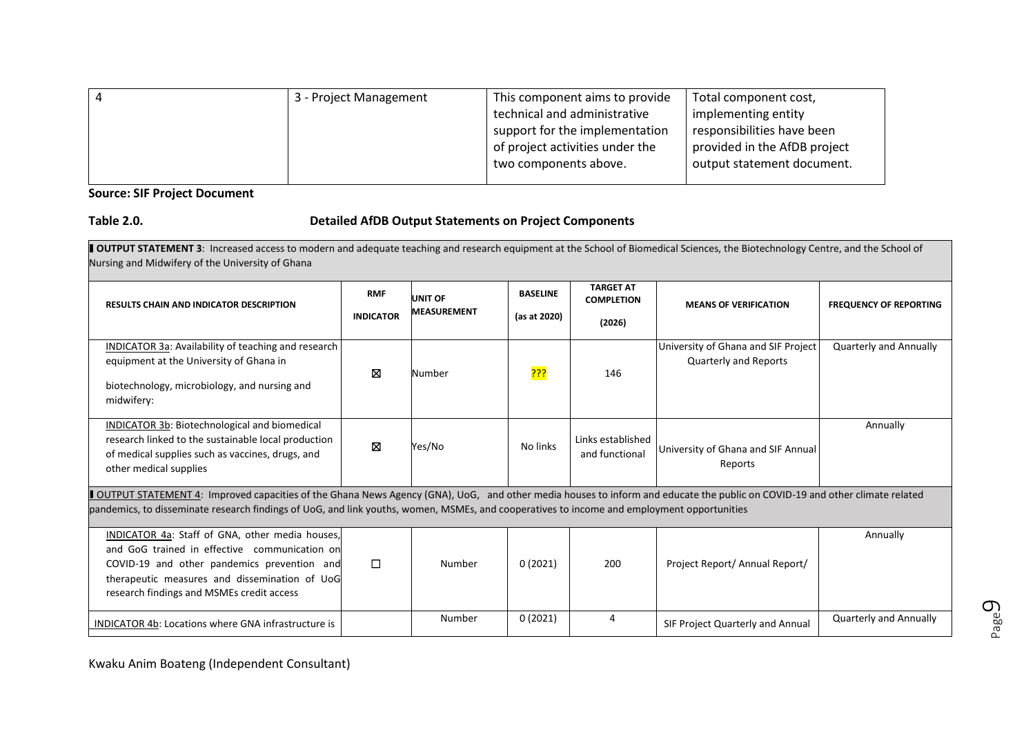| -4 | 3 - Project Management | This component aims to provide  | Total component cost,        |
|----|------------------------|---------------------------------|------------------------------|
|    |                        | technical and administrative    | implementing entity          |
|    |                        | support for the implementation  | responsibilities have been   |
|    |                        | of project activities under the | provided in the AfDB project |
|    |                        | two components above.           | output statement document.   |
|    |                        |                                 |                              |

### **Source: SIF Project Document**

## **Table 2.0. Detailed AfDB Output Statements on Project Components**

**DUTPUT STATEMENT 3:** Increased access to modern and adequate teaching and research equipment at the School of Biomedical Sciences, the Biotechnology Centre, and the School of Nursing and Midwifery of the University of Ghana

| <b>RESULTS CHAIN AND INDICATOR DESCRIPTION</b>                                                                                                                                                                                                                                                                                    | <b>RMF</b><br><b>INDICATOR</b> | <b>UNIT OF</b><br><b>MEASUREMENT</b> | <b>BASELINE</b><br>(as at 2020) | <b>TARGET AT</b><br><b>COMPLETION</b><br>(2026) | <b>MEANS OF VERIFICATION</b>                                        | <b>FREQUENCY OF REPORTING</b> |  |  |
|-----------------------------------------------------------------------------------------------------------------------------------------------------------------------------------------------------------------------------------------------------------------------------------------------------------------------------------|--------------------------------|--------------------------------------|---------------------------------|-------------------------------------------------|---------------------------------------------------------------------|-------------------------------|--|--|
| INDICATOR 3a: Availability of teaching and research<br>equipment at the University of Ghana in<br>biotechnology, microbiology, and nursing and<br>midwifery:                                                                                                                                                                      | ⊠                              | Number                               | <mark>ַיִּיְיָ</mark>           | 146                                             | University of Ghana and SIF Project<br><b>Quarterly and Reports</b> | Quarterly and Annually        |  |  |
| INDICATOR 3b: Biotechnological and biomedical<br>research linked to the sustainable local production<br>of medical supplies such as vaccines, drugs, and<br>other medical supplies                                                                                                                                                | ⊠                              | Yes/No                               | No links                        | Links established<br>and functional             | University of Ghana and SIF Annual<br>Reports                       | Annually                      |  |  |
| <b>I OUTPUT STATEMENT 4:</b> Improved capacities of the Ghana News Agency (GNA), UoG, and other media houses to inform and educate the public on COVID-19 and other climate related<br>pandemics, to disseminate research findings of UoG, and link youths, women, MSMEs, and cooperatives to income and employment opportunities |                                |                                      |                                 |                                                 |                                                                     |                               |  |  |
| INDICATOR 4a: Staff of GNA, other media houses,<br>and GoG trained in effective communication on<br>COVID-19 and other pandemics prevention and<br>therapeutic measures and dissemination of UoG<br>research findings and MSMEs credit access                                                                                     | $\Box$                         | Number                               | 0(2021)                         | 200                                             | Project Report/ Annual Report/                                      | Annually                      |  |  |
| <b>INDICATOR 4b: Locations where GNA infrastructure is</b>                                                                                                                                                                                                                                                                        |                                | Number                               | 0(2021)                         | 4                                               | SIF Project Quarterly and Annual                                    | <b>Quarterly and Annually</b> |  |  |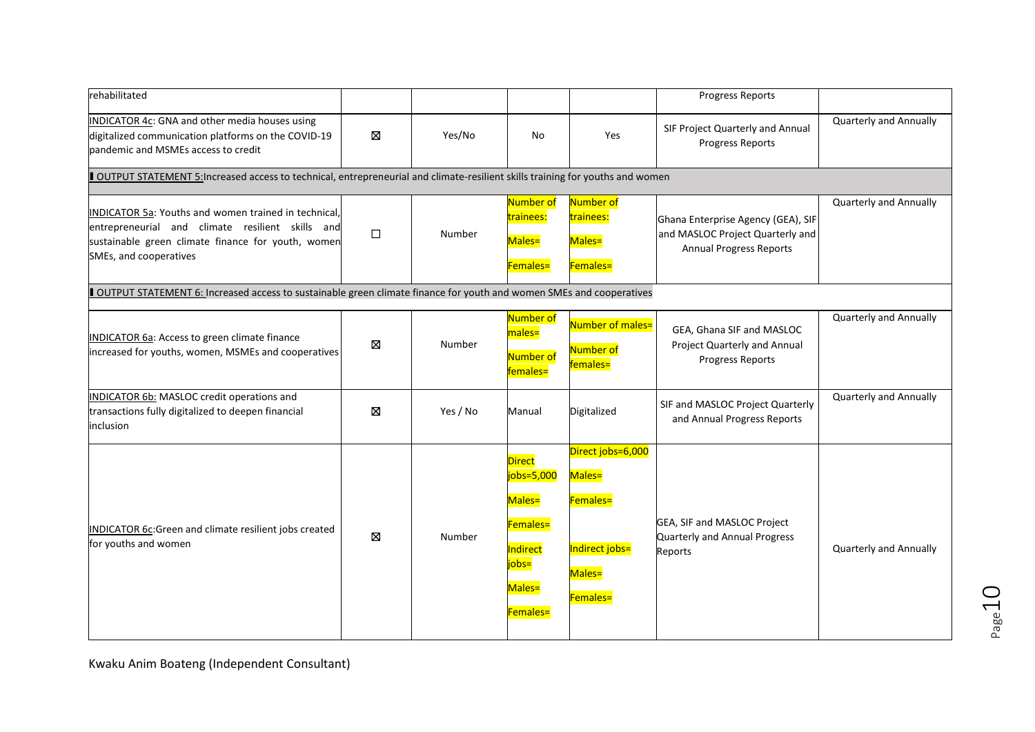| rehabilitated                                                                                                                                                                                   |        |          |                                                                                              |                                                                                 | <b>Progress Reports</b>                                                                                  |                               |  |  |
|-------------------------------------------------------------------------------------------------------------------------------------------------------------------------------------------------|--------|----------|----------------------------------------------------------------------------------------------|---------------------------------------------------------------------------------|----------------------------------------------------------------------------------------------------------|-------------------------------|--|--|
| INDICATOR 4c: GNA and other media houses using<br>digitalized communication platforms on the COVID-19<br>pandemic and MSMEs access to credit                                                    | Ø      | Yes/No   | No                                                                                           | Yes                                                                             | SIF Project Quarterly and Annual<br><b>Progress Reports</b>                                              | Quarterly and Annually        |  |  |
| OUTPUT STATEMENT 5: Increased access to technical, entrepreneurial and climate-resilient skills training for youths and women                                                                   |        |          |                                                                                              |                                                                                 |                                                                                                          |                               |  |  |
| <b>INDICATOR 5a: Youths and women trained in technical,</b><br>entrepreneurial and climate resilient skills and<br>sustainable green climate finance for youth, women<br>SMEs, and cooperatives | $\Box$ | Number   | Number of<br>trainees:<br>Males=<br>Females=                                                 | Number of<br>trainees:<br>Males=<br>Females=                                    | Ghana Enterprise Agency (GEA), SIF<br>and MASLOC Project Quarterly and<br><b>Annual Progress Reports</b> | <b>Quarterly and Annually</b> |  |  |
| OUTPUT STATEMENT 6: Increased access to sustainable green climate finance for youth and women SMEs and cooperatives                                                                             |        |          |                                                                                              |                                                                                 |                                                                                                          |                               |  |  |
| INDICATOR 6a: Access to green climate finance<br>increased for youths, women, MSMEs and cooperatives                                                                                            | Ø      | Number   | Number of<br>males=<br>Number of<br>females=                                                 | Number of males=<br>Number of<br>females=                                       | GEA, Ghana SIF and MASLOC<br>Project Quarterly and Annual<br><b>Progress Reports</b>                     | Quarterly and Annually        |  |  |
| INDICATOR 6b: MASLOC credit operations and<br>transactions fully digitalized to deepen financial<br>inclusion                                                                                   | Ø      | Yes / No | Manual                                                                                       | Digitalized                                                                     | SIF and MASLOC Project Quarterly<br>and Annual Progress Reports                                          | Quarterly and Annually        |  |  |
| INDICATOR 6c:Green and climate resilient jobs created<br>for youths and women                                                                                                                   | ⊠      | Number   | <b>Direct</b><br>jobs=5,000<br>Males=<br>Females=<br>Indirect<br>jobs=<br>Males=<br>Females= | Direct jobs=6,000<br>Males=<br>Females=<br>Indirect jobs=<br>Males=<br>Females= | GEA, SIF and MASLOC Project<br>Quarterly and Annual Progress<br>Reports                                  | Quarterly and Annually        |  |  |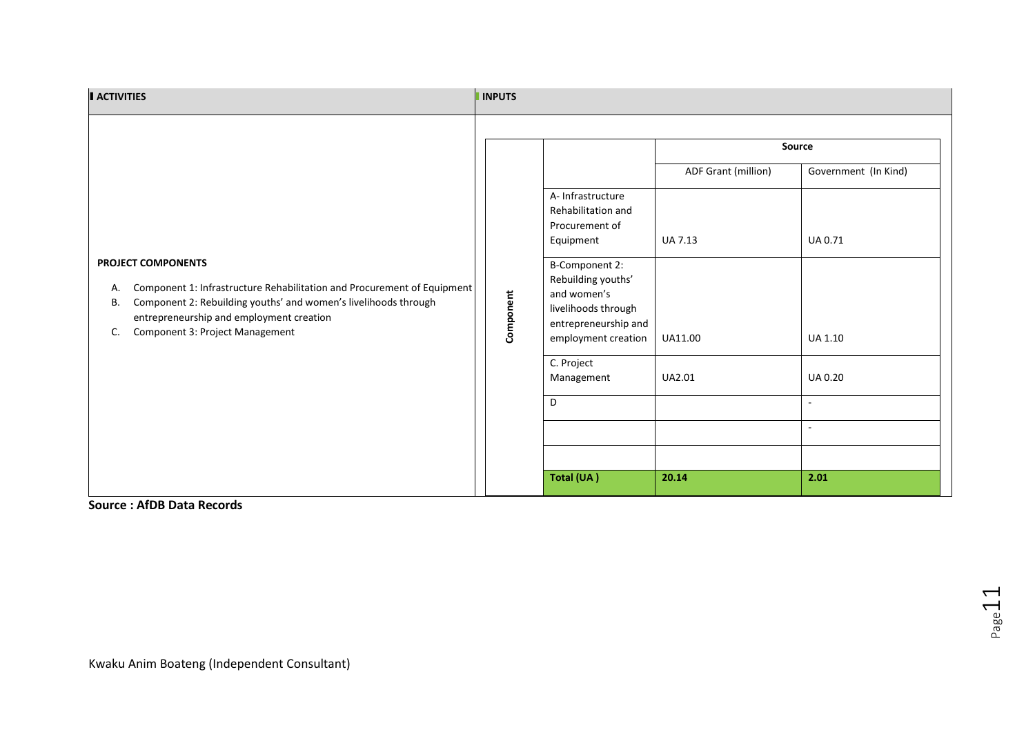| <b>ACTIVITIES</b>                                                                                                                                                                                                                                                 | <b>INPUTS</b> |                                                                                                                                                                                                                                                          |                                                                            |                                                                                                                             |
|-------------------------------------------------------------------------------------------------------------------------------------------------------------------------------------------------------------------------------------------------------------------|---------------|----------------------------------------------------------------------------------------------------------------------------------------------------------------------------------------------------------------------------------------------------------|----------------------------------------------------------------------------|-----------------------------------------------------------------------------------------------------------------------------|
| PROJECT COMPONENTS<br>Component 1: Infrastructure Rehabilitation and Procurement of Equipment<br>А.<br>Component 2: Rebuilding youths' and women's livelihoods through<br>В.<br>entrepreneurship and employment creation<br>Component 3: Project Management<br>C. | Component     | A-Infrastructure<br>Rehabilitation and<br>Procurement of<br>Equipment<br><b>B-Component 2:</b><br>Rebuilding youths'<br>and women's<br>livelihoods through<br>entrepreneurship and<br>employment creation<br>C. Project<br>Management<br>D<br>Total (UA) | ADF Grant (million)<br>UA 7.13<br><b>UA11.00</b><br><b>UA2.01</b><br>20.14 | Source<br>Government (In Kind)<br>UA 0.71<br>UA 1.10<br><b>UA0.20</b><br>$\overline{\phantom{a}}$<br>$\blacksquare$<br>2.01 |
|                                                                                                                                                                                                                                                                   |               |                                                                                                                                                                                                                                                          |                                                                            |                                                                                                                             |

**Source : AfDB Data Records**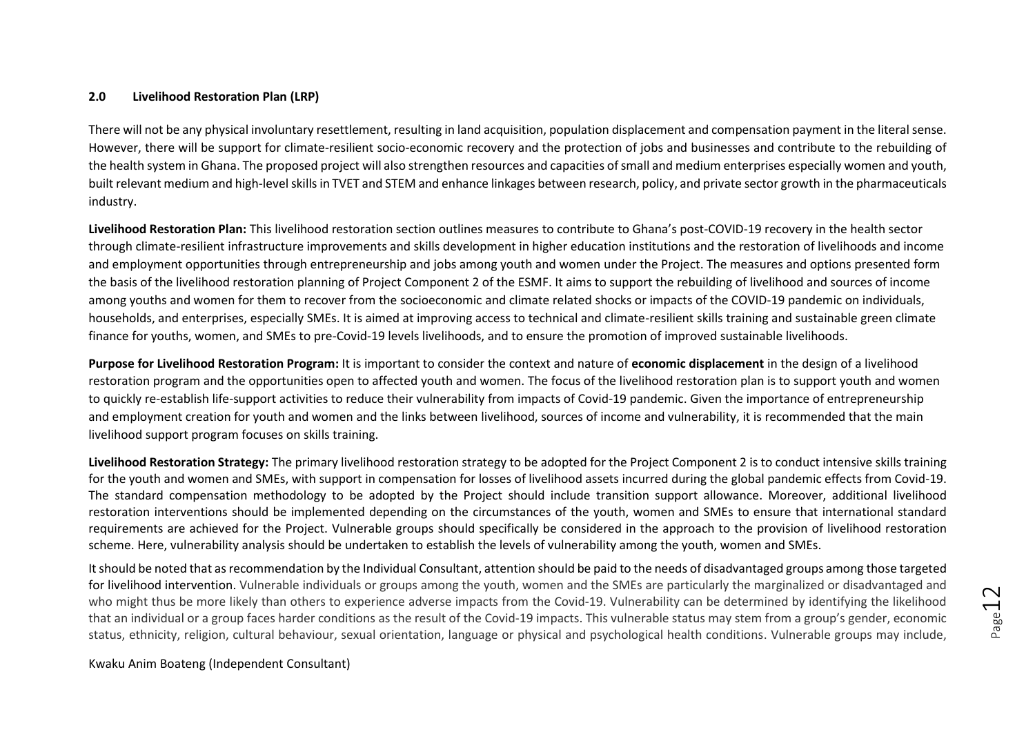#### **2.0 Livelihood Restoration Plan (LRP)**

There will not be any physical involuntary resettlement, resulting in land acquisition, population displacement and compensation payment in the literal sense. However, there will be support for climate-resilient socio-economic recovery and the protection of jobs and businesses and contribute to the rebuilding of the health system in Ghana. The proposed project will also strengthen resources and capacities of small and medium enterprises especially women and youth, built relevant medium and high-level skills in TVET and STEM and enhance linkages between research, policy, and private sector growth in the pharmaceuticals industry.

**Livelihood Restoration Plan:** This livelihood restoration section outlines measures to contribute to Ghana's post-COVID-19 recovery in the health sector through climate-resilient infrastructure improvements and skills development in higher education institutions and the restoration of livelihoods and income and employment opportunities through entrepreneurship and jobs among youth and women under the Project. The measures and options presented form the basis of the livelihood restoration planning of Project Component 2 of the ESMF. It aims to support the rebuilding of livelihood and sources of income among youths and women for them to recover from the socioeconomic and climate related shocks or impacts of the COVID-19 pandemic on individuals, households, and enterprises, especially SMEs. It is aimed at improving access to technical and climate-resilient skills training and sustainable green climate finance for youths, women, and SMEs to pre-Covid-19 levels livelihoods, and to ensure the promotion of improved sustainable livelihoods.

**Purpose for Livelihood Restoration Program:** It is important to consider the context and nature of **economic displacement** in the design of a livelihood restoration program and the opportunities open to affected youth and women. The focus of the livelihood restoration plan is to support youth and women to quickly re-establish life-support activities to reduce their vulnerability from impacts of Covid-19 pandemic. Given the importance of entrepreneurship and employment creation for youth and women and the links between livelihood, sources of income and vulnerability, it is recommended that the main livelihood support program focuses on skills training.

**Livelihood Restoration Strategy:** The primary livelihood restoration strategy to be adopted for the Project Component 2 is to conduct intensive skills training for the youth and women and SMEs, with support in compensation for losses of livelihood assets incurred during the global pandemic effects from Covid-19. The standard compensation methodology to be adopted by the Project should include transition support allowance. Moreover, additional livelihood restoration interventions should be implemented depending on the circumstances of the youth, women and SMEs to ensure that international standard requirements are achieved for the Project. Vulnerable groups should specifically be considered in the approach to the provision of livelihood restoration scheme. Here, vulnerability analysis should be undertaken to establish the levels of vulnerability among the youth, women and SMEs.

It should be noted that asrecommendation by the Individual Consultant, attention should be paid to the needs of disadvantaged groups among those targeted for livelihood intervention. Vulnerable individuals or groups among the youth, women and the SMEs are particularly the marginalized or disadvantaged and who might thus be more likely than others to experience adverse impacts from the Covid-19. Vulnerability can be determined by identifying the likelihood that an individual or a group faces harder conditions as the result of the Covid-19 impacts. This vulnerable status may stem from a group's gender, economic status, ethnicity, religion, cultural behaviour, sexual orientation, language or physical and psychological health conditions. Vulnerable groups may include,

Kwaku Anim Boateng (Independent Consultant)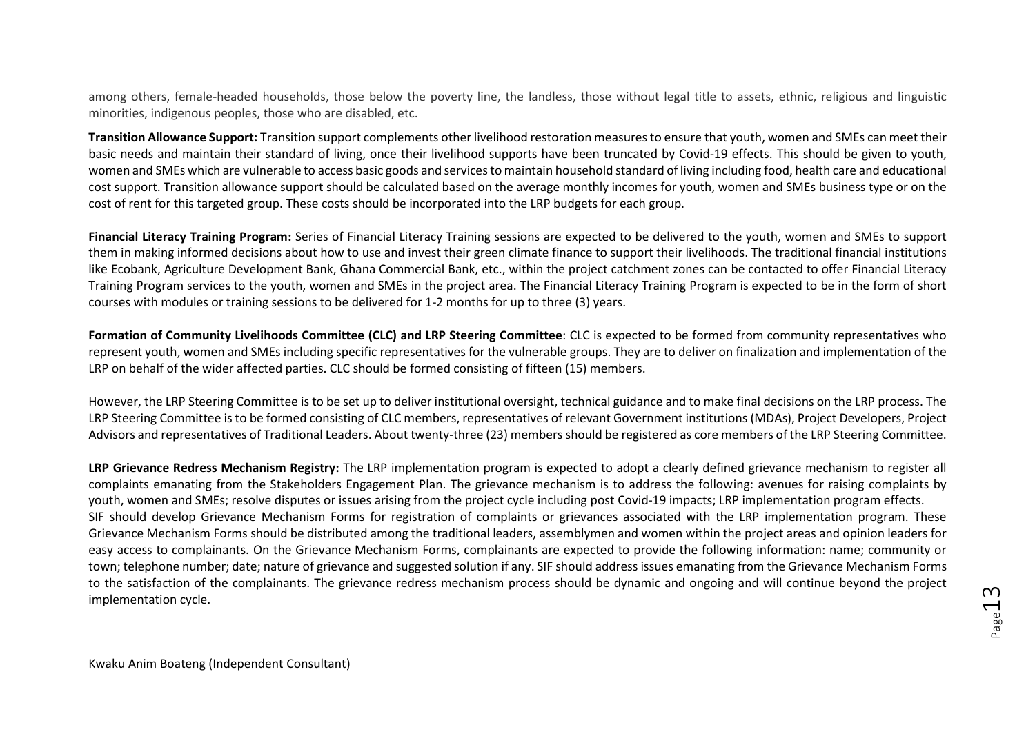among others, female-headed households, those below the poverty line, the landless, those without legal title to assets, ethnic, religious and linguistic minorities, indigenous peoples, those who are disabled, etc.

**Transition Allowance Support:** Transition support complements other livelihood restoration measures to ensure that youth, women and SMEs can meet their basic needs and maintain their standard of living, once their livelihood supports have been truncated by Covid-19 effects. This should be given to youth, women and SMEs which are vulnerable to access basic goods and services to maintain household standard of living including food, health care and educational cost support. Transition allowance support should be calculated based on the average monthly incomes for youth, women and SMEs business type or on the cost of rent for this targeted group. These costs should be incorporated into the LRP budgets for each group.

**Financial Literacy Training Program:** Series of Financial Literacy Training sessions are expected to be delivered to the youth, women and SMEs to support them in making informed decisions about how to use and invest their green climate finance to support their livelihoods. The traditional financial institutions like Ecobank, Agriculture Development Bank, Ghana Commercial Bank, etc., within the project catchment zones can be contacted to offer Financial Literacy Training Program services to the youth, women and SMEs in the project area. The Financial Literacy Training Program is expected to be in the form of short courses with modules or training sessions to be delivered for 1-2 months for up to three (3) years.

**Formation of Community Livelihoods Committee (CLC) and LRP Steering Committee**: CLC is expected to be formed from community representatives who represent youth, women and SMEs including specific representatives for the vulnerable groups. They are to deliver on finalization and implementation of the LRP on behalf of the wider affected parties. CLC should be formed consisting of fifteen (15) members.

However, the LRP Steering Committee is to be set up to deliver institutional oversight, technical guidance and to make final decisions on the LRP process. The LRP Steering Committee is to be formed consisting of CLC members, representatives of relevant Government institutions (MDAs), Project Developers, Project Advisors and representatives of Traditional Leaders. About twenty-three (23) members should be registered as core members of the LRP Steering Committee.

**LRP Grievance Redress Mechanism Registry:** The LRP implementation program is expected to adopt a clearly defined grievance mechanism to register all complaints emanating from the Stakeholders Engagement Plan. The grievance mechanism is to address the following: avenues for raising complaints by youth, women and SMEs; resolve disputes or issues arising from the project cycle including post Covid-19 impacts; LRP implementation program effects. SIF should develop Grievance Mechanism Forms for registration of complaints or grievances associated with the LRP implementation program. These Grievance Mechanism Forms should be distributed among the traditional leaders, assemblymen and women within the project areas and opinion leaders for easy access to complainants. On the Grievance Mechanism Forms, complainants are expected to provide the following information: name; community or town; telephone number; date; nature of grievance and suggested solution if any. SIF should address issues emanating from the Grievance Mechanism Forms to the satisfaction of the complainants. The grievance redress mechanism process should be dynamic and ongoing and will continue beyond the project implementation cycle.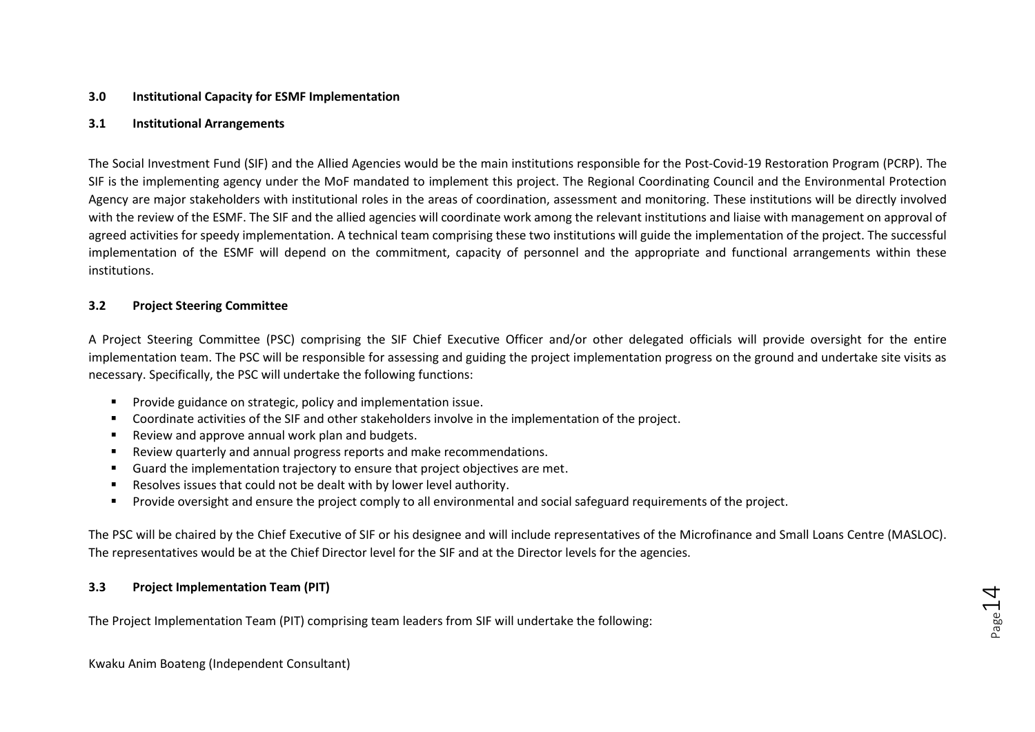#### **3.0 Institutional Capacity for ESMF Implementation**

#### **3.1 Institutional Arrangements**

The Social Investment Fund (SIF) and the Allied Agencies would be the main institutions responsible for the Post-Covid-19 Restoration Program (PCRP). The SIF is the implementing agency under the MoF mandated to implement this project. The Regional Coordinating Council and the Environmental Protection Agency are major stakeholders with institutional roles in the areas of coordination, assessment and monitoring. These institutions will be directly involved with the review of the ESMF. The SIF and the allied agencies will coordinate work among the relevant institutions and liaise with management on approval of agreed activities for speedy implementation. A technical team comprising these two institutions will guide the implementation of the project. The successful implementation of the ESMF will depend on the commitment, capacity of personnel and the appropriate and functional arrangements within these institutions.

#### **3.2 Project Steering Committee**

A Project Steering Committee (PSC) comprising the SIF Chief Executive Officer and/or other delegated officials will provide oversight for the entire implementation team. The PSC will be responsible for assessing and guiding the project implementation progress on the ground and undertake site visits as necessary. Specifically, the PSC will undertake the following functions:

- Provide guidance on strategic, policy and implementation issue.
- Coordinate activities of the SIF and other stakeholders involve in the implementation of the project.
- Review and approve annual work plan and budgets.
- Review quarterly and annual progress reports and make recommendations.
- Guard the implementation trajectory to ensure that project objectives are met.
- Resolves issues that could not be dealt with by lower level authority.
- Provide oversight and ensure the project comply to all environmental and social safeguard requirements of the project.

The PSC will be chaired by the Chief Executive of SIF or his designee and will include representatives of the Microfinance and Small Loans Centre (MASLOC). The representatives would be at the Chief Director level for the SIF and at the Director levels for the agencies.

#### **3.3 Project Implementation Team (PIT)**

The Project Implementation Team (PIT) comprising team leaders from SIF will undertake the following:

Kwaku Anim Boateng (Independent Consultant)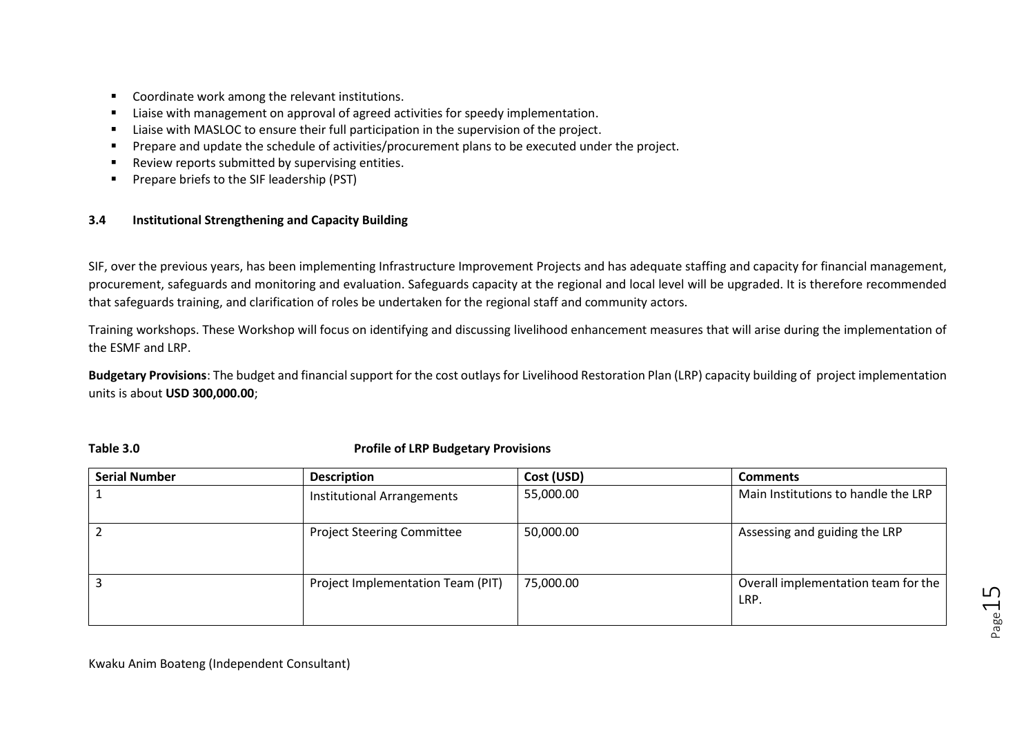- Coordinate work among the relevant institutions.
- Liaise with management on approval of agreed activities for speedy implementation.
- Liaise with MASLOC to ensure their full participation in the supervision of the project.
- Prepare and update the schedule of activities/procurement plans to be executed under the project.
- Review reports submitted by supervising entities.
- Prepare briefs to the SIF leadership (PST)

### **3.4 Institutional Strengthening and Capacity Building**

SIF, over the previous years, has been implementing Infrastructure Improvement Projects and has adequate staffing and capacity for financial management, procurement, safeguards and monitoring and evaluation. Safeguards capacity at the regional and local level will be upgraded. It is therefore recommended that safeguards training, and clarification of roles be undertaken for the regional staff and community actors.

Training workshops. These Workshop will focus on identifying and discussing livelihood enhancement measures that will arise during the implementation of the ESMF and LRP.

**Budgetary Provisions**: The budget and financial support for the cost outlays for Livelihood Restoration Plan (LRP) capacity building of project implementation units is about **USD 300,000.00**;

#### **Table 3.0 Profile of LRP Budgetary Provisions**

| <b>Serial Number</b> | <b>Description</b>                | Cost (USD) | <b>Comments</b>                             |
|----------------------|-----------------------------------|------------|---------------------------------------------|
|                      | Institutional Arrangements        | 55,000.00  | Main Institutions to handle the LRP         |
|                      | <b>Project Steering Committee</b> | 50,000.00  | Assessing and guiding the LRP               |
|                      | Project Implementation Team (PIT) | 75,000.00  | Overall implementation team for the<br>LRP. |